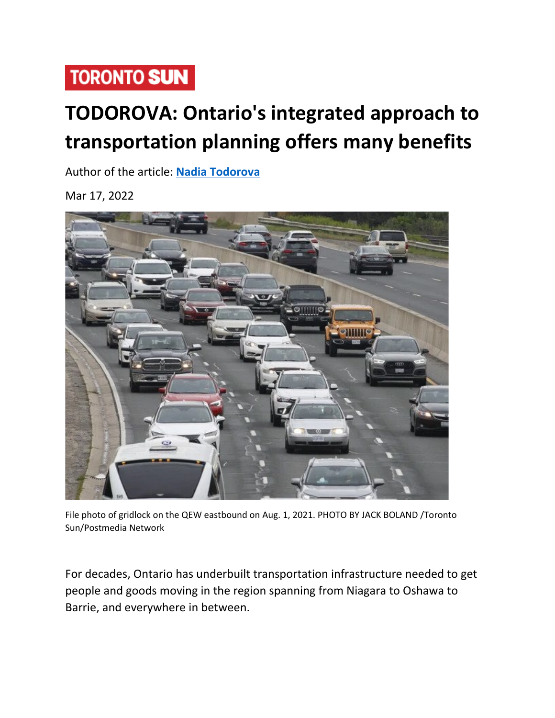## **TORONTO SUN**

## **TODOROVA: Ontario's integrated approach to transportation planning offers many benefits**

Author of the article: **[Nadia Todorova](https://torontosun.com/author/nadia-todorova/)**

Mar 17, 2022



File photo of gridlock on the QEW eastbound on Aug. 1, 2021. PHOTO BY JACK BOLAND /Toronto Sun/Postmedia Network

For decades, Ontario has underbuilt transportation infrastructure needed to get people and goods moving in the region spanning from Niagara to Oshawa to Barrie, and everywhere in between.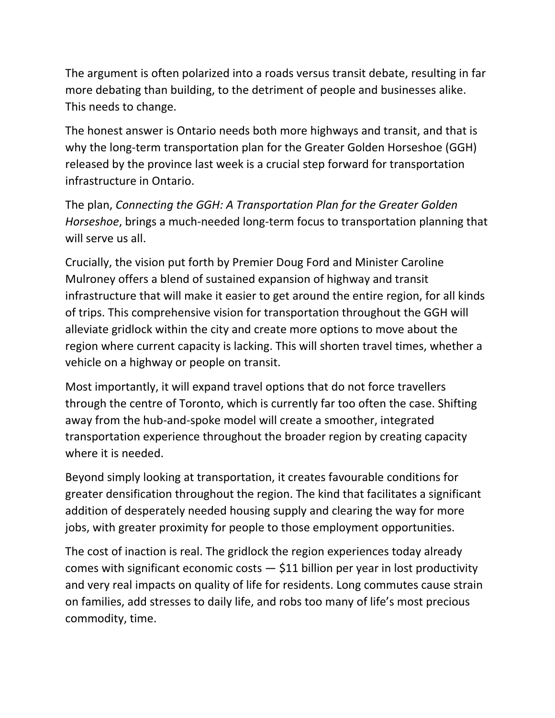The argument is often polarized into a roads versus transit debate, resulting in far more debating than building, to the detriment of people and businesses alike. This needs to change.

The honest answer is Ontario needs both more highways and transit, and that is why the long-term transportation plan for the Greater Golden Horseshoe (GGH) released by the province last week is a crucial step forward for transportation infrastructure in Ontario.

The plan, *Connecting the GGH: A Transportation Plan for the Greater Golden Horseshoe*, brings a much-needed long-term focus to transportation planning that will serve us all.

Crucially, the vision put forth by Premier Doug Ford and Minister Caroline Mulroney offers a blend of sustained expansion of highway and transit infrastructure that will make it easier to get around the entire region, for all kinds of trips. This comprehensive vision for transportation throughout the GGH will alleviate gridlock within the city and create more options to move about the region where current capacity is lacking. This will shorten travel times, whether a vehicle on a highway or people on transit.

Most importantly, it will expand travel options that do not force travellers through the centre of Toronto, which is currently far too often the case. Shifting away from the hub-and-spoke model will create a smoother, integrated transportation experience throughout the broader region by creating capacity where it is needed.

Beyond simply looking at transportation, it creates favourable conditions for greater densification throughout the region. The kind that facilitates a significant addition of desperately needed housing supply and clearing the way for more jobs, with greater proximity for people to those employment opportunities.

The cost of inaction is real. The gridlock the region experiences today already comes with significant economic costs  $-$  \$11 billion per year in lost productivity and very real impacts on quality of life for residents. Long commutes cause strain on families, add stresses to daily life, and robs too many of life's most precious commodity, time.